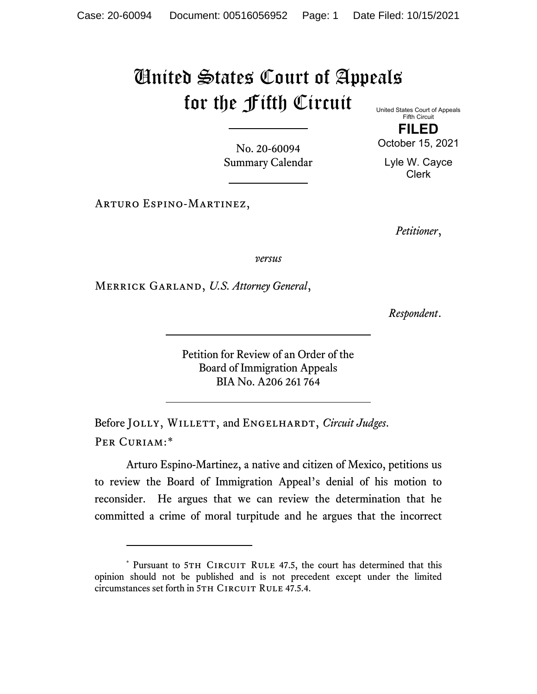## United States Court of Appeals for the Fifth Circuit United States Court of Appeals

No. 20-60094 Summary Calendar

Fifth Circuit **FILED**

October 15, 2021

Lyle W. Cayce Clerk

Arturo Espino-Martinez,

*Petitioner*,

*versus*

Merrick Garland, *U.S. Attorney General*,

*Respondent*.

Petition for Review of an Order of the Board of Immigration Appeals BIA No. A206 261 764

Before JOLLY, WILLETT, and ENGELHARDT, *Circuit Judges*. Per Curiam:[\\*](#page-0-0)

Arturo Espino-Martinez, a native and citizen of Mexico, petitions us to review the Board of Immigration Appeal's denial of his motion to reconsider. He argues that we can review the determination that he committed a crime of moral turpitude and he argues that the incorrect

<span id="page-0-0"></span><sup>\*</sup> Pursuant to 5TH CIRCUIT RULE 47.5, the court has determined that this opinion should not be published and is not precedent except under the limited circumstances set forth in 5TH CIRCUIT RULE 47.5.4.